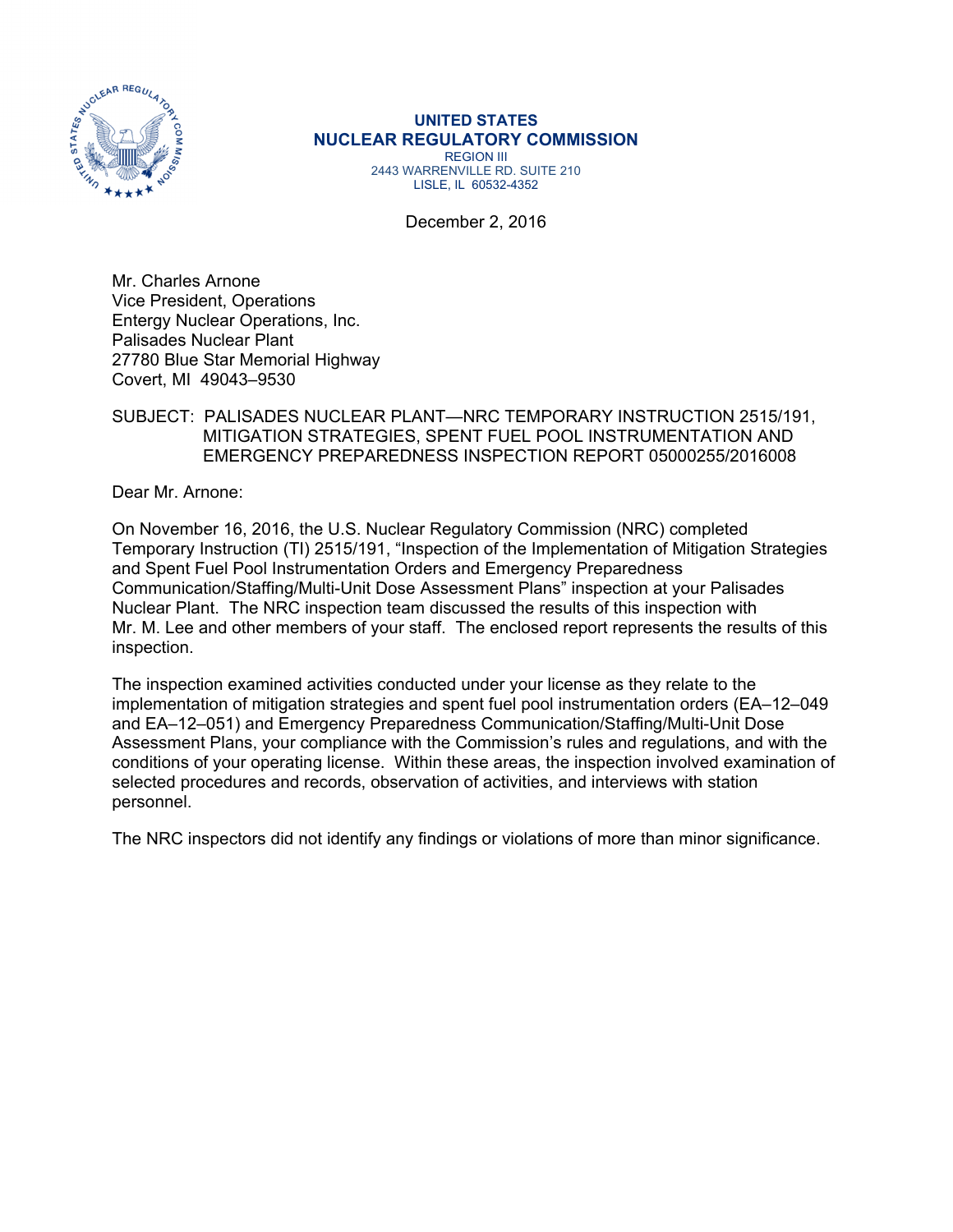

#### **UNITED STATES NUCLEAR REGULATORY COMMISSION**  REGION III

2443 WARRENVILLE RD. SUITE 210 LISLE, IL 60532-4352

December 2, 2016

Mr. Charles Arnone Vice President, Operations Entergy Nuclear Operations, Inc. Palisades Nuclear Plant 27780 Blue Star Memorial Highway Covert, MI 49043–9530

### SUBJECT: PALISADES NUCLEAR PLANT—NRC TEMPORARY INSTRUCTION 2515/191, MITIGATION STRATEGIES, SPENT FUEL POOL INSTRUMENTATION AND EMERGENCY PREPAREDNESS INSPECTION REPORT 05000255/2016008

Dear Mr. Arnone:

On November 16, 2016, the U.S. Nuclear Regulatory Commission (NRC) completed Temporary Instruction (TI) 2515/191, "Inspection of the Implementation of Mitigation Strategies and Spent Fuel Pool Instrumentation Orders and Emergency Preparedness Communication/Staffing/Multi-Unit Dose Assessment Plans" inspection at your Palisades Nuclear Plant. The NRC inspection team discussed the results of this inspection with Mr. M. Lee and other members of your staff. The enclosed report represents the results of this inspection.

The inspection examined activities conducted under your license as they relate to the implementation of mitigation strategies and spent fuel pool instrumentation orders (EA–12–049 and EA–12–051) and Emergency Preparedness Communication/Staffing/Multi-Unit Dose Assessment Plans, your compliance with the Commission's rules and regulations, and with the conditions of your operating license. Within these areas, the inspection involved examination of selected procedures and records, observation of activities, and interviews with station personnel.

The NRC inspectors did not identify any findings or violations of more than minor significance.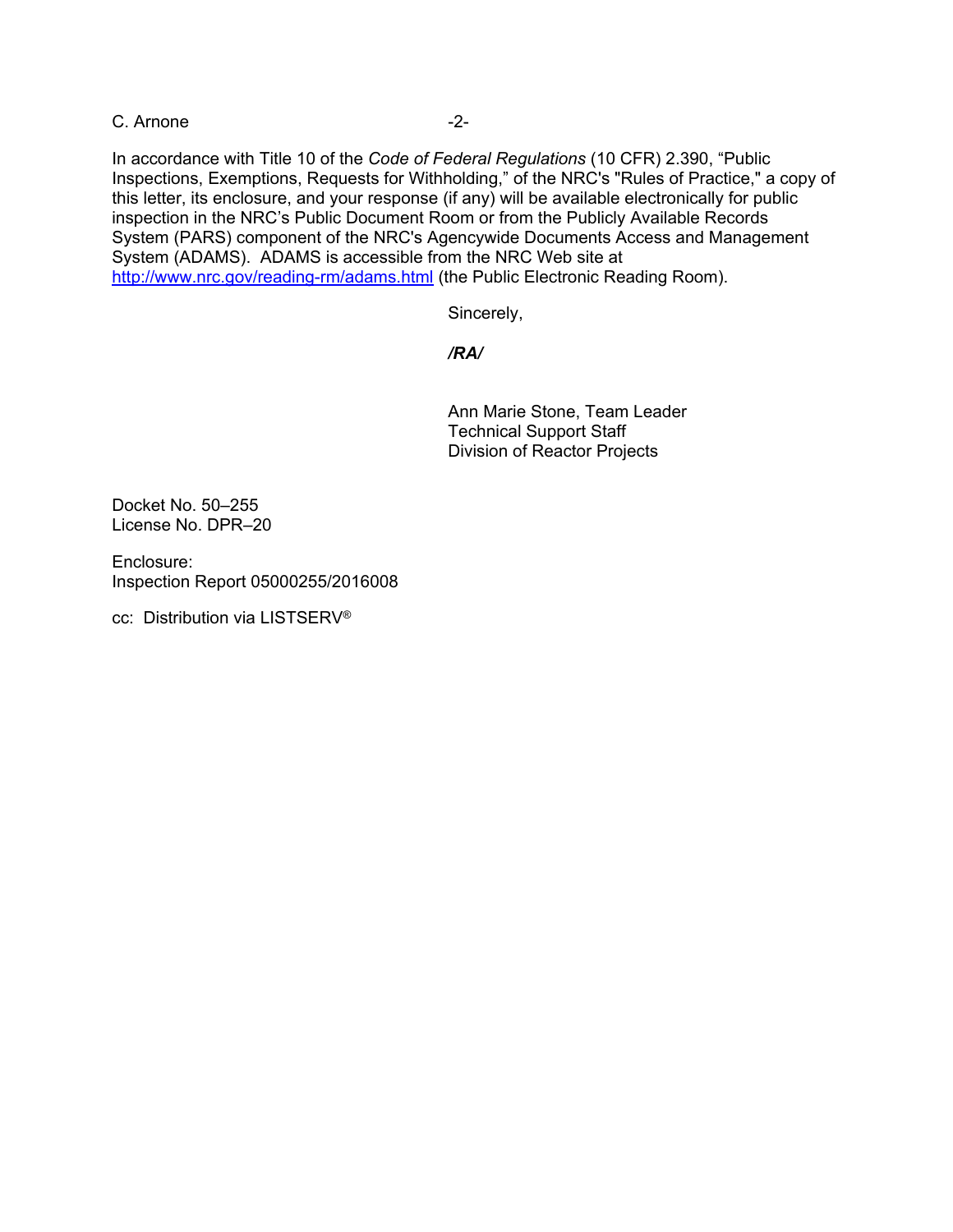C. Arnone -2-

In accordance with Title 10 of the *Code of Federal Regulations* (10 CFR) 2.390, "Public Inspections, Exemptions, Requests for Withholding," of the NRC's "Rules of Practice," a copy of this letter, its enclosure, and your response (if any) will be available electronically for public inspection in the NRC's Public Document Room or from the Publicly Available Records System (PARS) component of the NRC's Agencywide Documents Access and Management System (ADAMS). ADAMS is accessible from the NRC Web site at http://www.nrc.gov/reading-rm/adams.html (the Public Electronic Reading Room).

Sincerely,

### */RA/*

Ann Marie Stone, Team Leader Technical Support Staff Division of Reactor Projects

Docket No. 50–255 License No. DPR–20

Enclosure: Inspection Report 05000255/2016008

cc: Distribution via LISTSERV®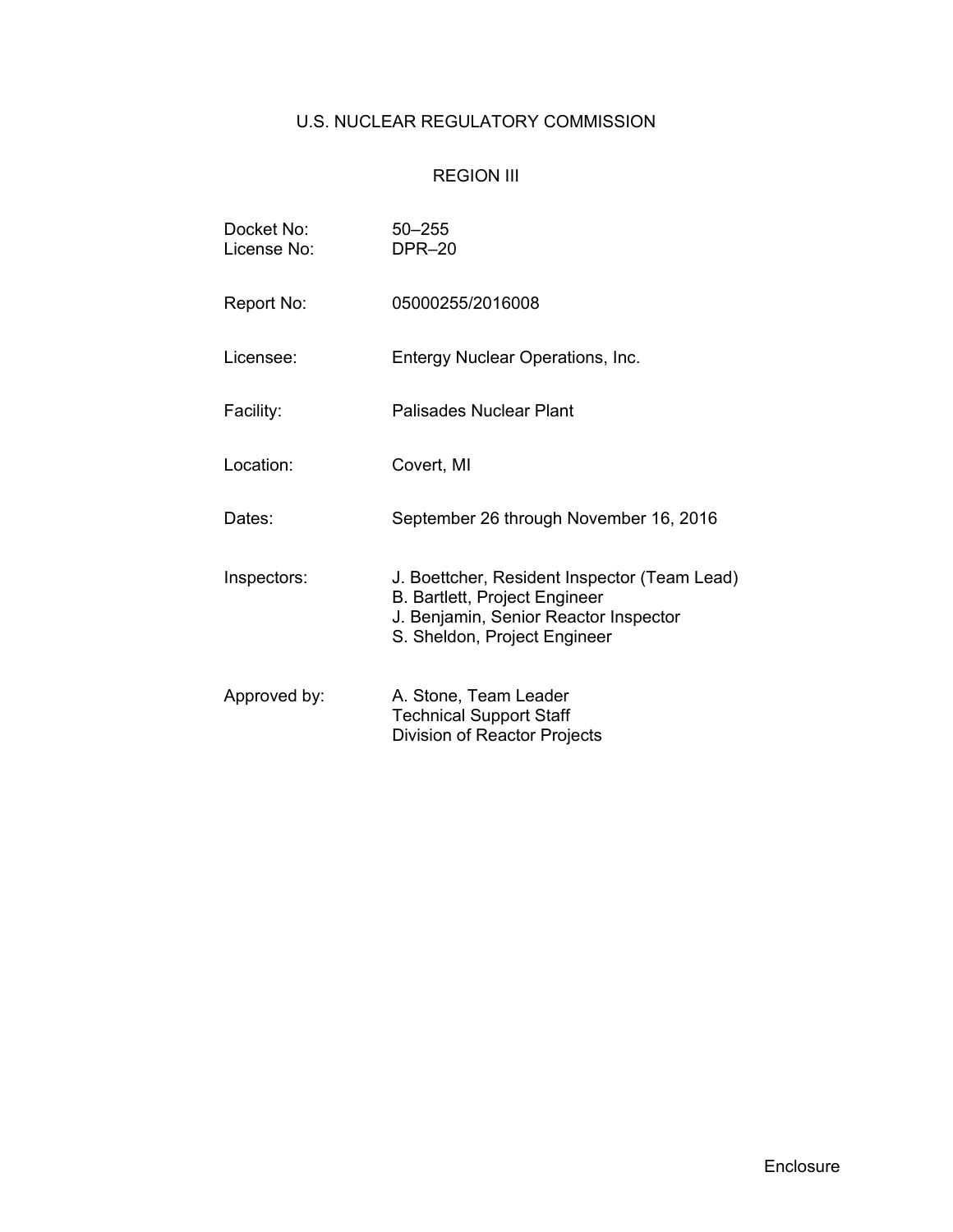# U.S. NUCLEAR REGULATORY COMMISSION

# REGION III

| Docket No:<br>License No: | $50 - 255$<br><b>DPR-20</b>                                                                                                                                   |  |  |  |
|---------------------------|---------------------------------------------------------------------------------------------------------------------------------------------------------------|--|--|--|
| Report No:                | 05000255/2016008                                                                                                                                              |  |  |  |
| Licensee:                 | Entergy Nuclear Operations, Inc.                                                                                                                              |  |  |  |
| Facility:                 | Palisades Nuclear Plant                                                                                                                                       |  |  |  |
| Location:                 | Covert, MI                                                                                                                                                    |  |  |  |
| Dates:                    | September 26 through November 16, 2016                                                                                                                        |  |  |  |
| Inspectors:               | J. Boettcher, Resident Inspector (Team Lead)<br><b>B. Bartlett, Project Engineer</b><br>J. Benjamin, Senior Reactor Inspector<br>S. Sheldon, Project Engineer |  |  |  |
| Approved by:              | A. Stone, Team Leader<br><b>Technical Support Staff</b><br>Division of Reactor Projects                                                                       |  |  |  |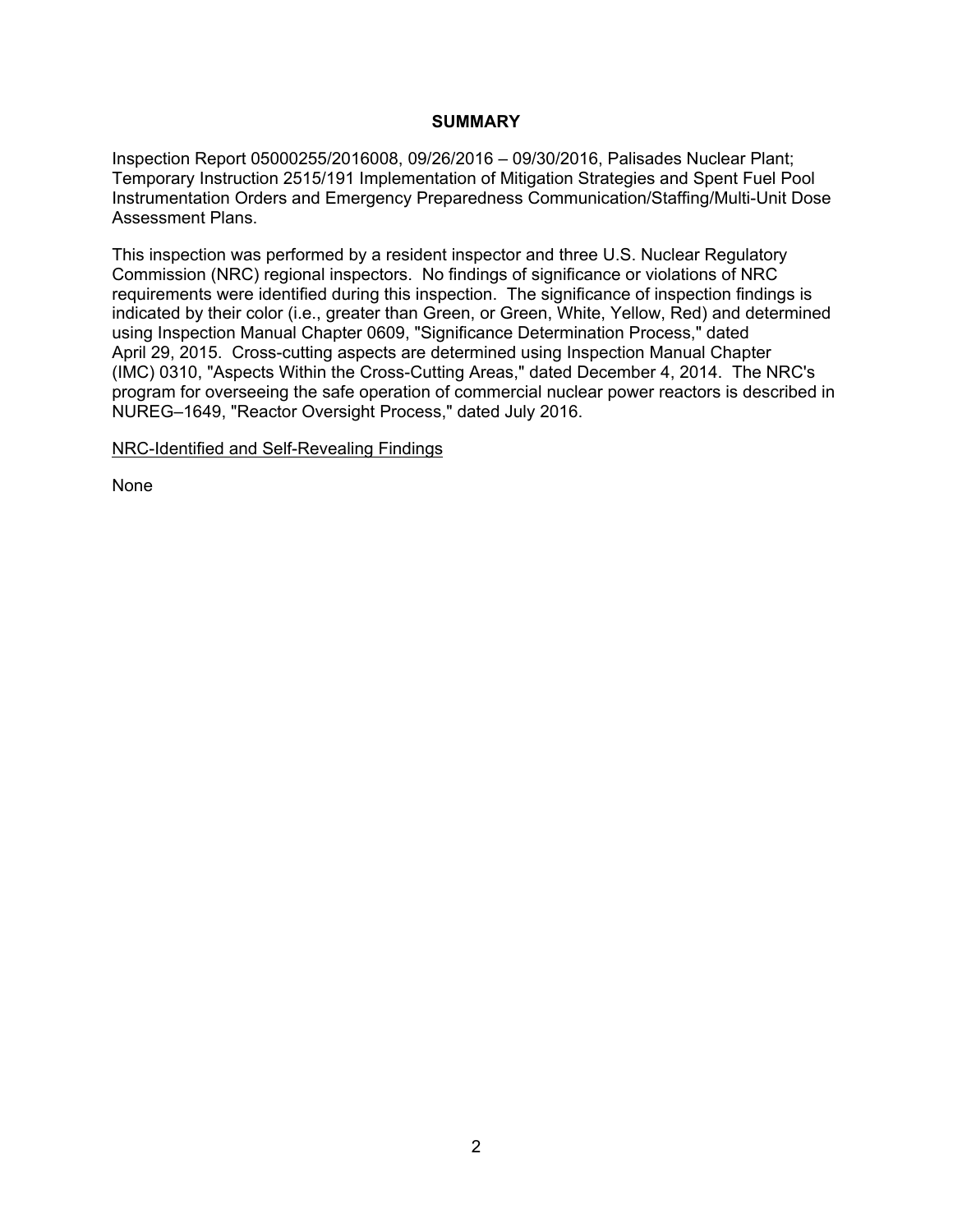### **SUMMARY**

Inspection Report 05000255/2016008, 09/26/2016 – 09/30/2016, Palisades Nuclear Plant; Temporary Instruction 2515/191 Implementation of Mitigation Strategies and Spent Fuel Pool Instrumentation Orders and Emergency Preparedness Communication/Staffing/Multi-Unit Dose Assessment Plans.

This inspection was performed by a resident inspector and three U.S. Nuclear Regulatory Commission (NRC) regional inspectors. No findings of significance or violations of NRC requirements were identified during this inspection. The significance of inspection findings is indicated by their color (i.e., greater than Green, or Green, White, Yellow, Red) and determined using Inspection Manual Chapter 0609, "Significance Determination Process," dated April 29, 2015. Cross-cutting aspects are determined using Inspection Manual Chapter (IMC) 0310, "Aspects Within the Cross-Cutting Areas," dated December 4, 2014. The NRC's program for overseeing the safe operation of commercial nuclear power reactors is described in NUREG–1649, "Reactor Oversight Process," dated July 2016.

NRC-Identified and Self-Revealing Findings

None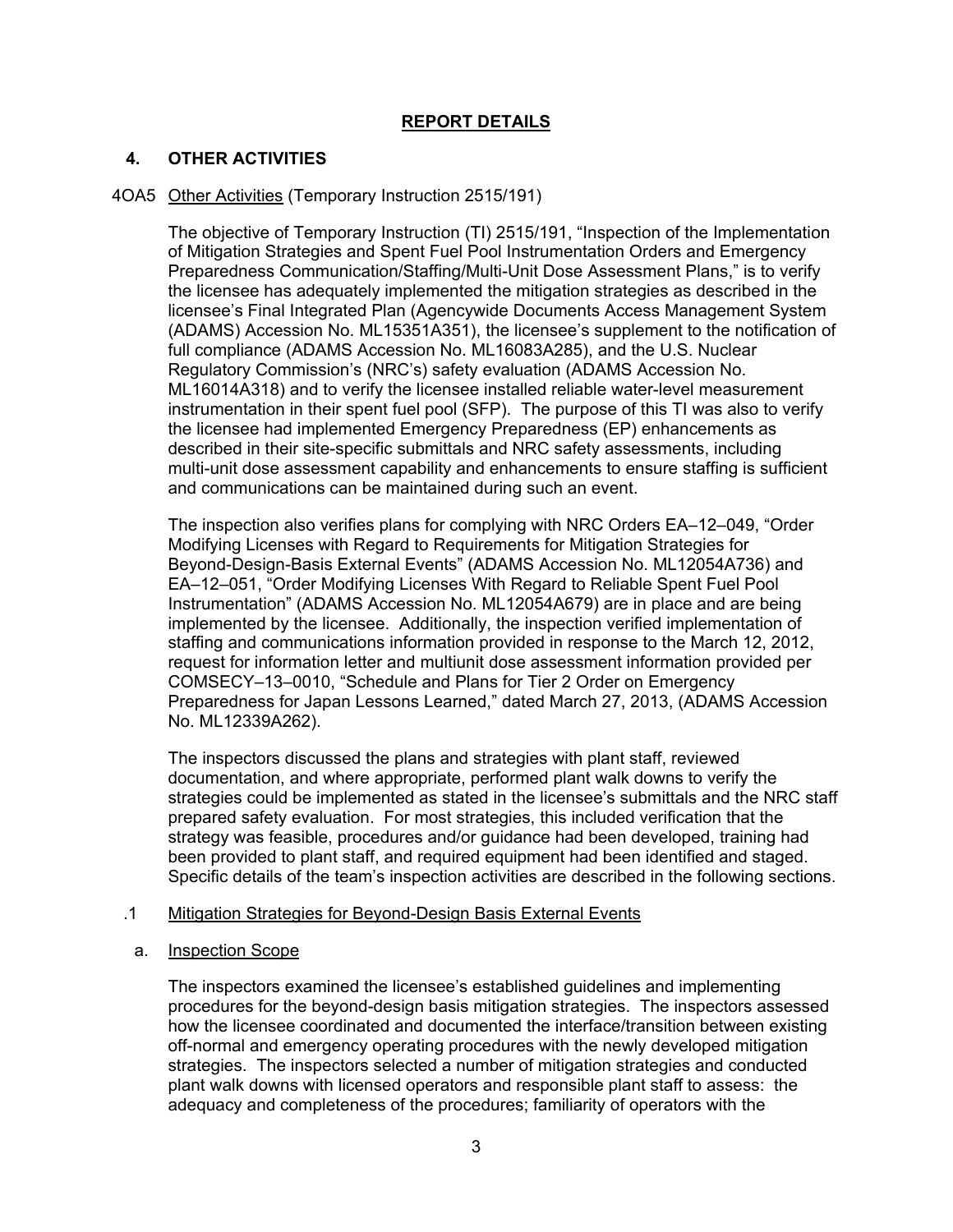# **REPORT DETAILS**

# **4. OTHER ACTIVITIES**

### 4OA5 Other Activities (Temporary Instruction 2515/191)

The objective of Temporary Instruction (TI) 2515/191, "Inspection of the Implementation of Mitigation Strategies and Spent Fuel Pool Instrumentation Orders and Emergency Preparedness Communication/Staffing/Multi-Unit Dose Assessment Plans," is to verify the licensee has adequately implemented the mitigation strategies as described in the licensee's Final Integrated Plan (Agencywide Documents Access Management System (ADAMS) Accession No. ML15351A351), the licensee's supplement to the notification of full compliance (ADAMS Accession No. ML16083A285), and the U.S. Nuclear Regulatory Commission's (NRC's) safety evaluation (ADAMS Accession No. ML16014A318) and to verify the licensee installed reliable water-level measurement instrumentation in their spent fuel pool (SFP). The purpose of this TI was also to verify the licensee had implemented Emergency Preparedness (EP) enhancements as described in their site-specific submittals and NRC safety assessments, including multi-unit dose assessment capability and enhancements to ensure staffing is sufficient and communications can be maintained during such an event.

The inspection also verifies plans for complying with NRC Orders EA–12–049, "Order Modifying Licenses with Regard to Requirements for Mitigation Strategies for Beyond-Design-Basis External Events" (ADAMS Accession No. ML12054A736) and EA–12–051, "Order Modifying Licenses With Regard to Reliable Spent Fuel Pool Instrumentation" (ADAMS Accession No. ML12054A679) are in place and are being implemented by the licensee. Additionally, the inspection verified implementation of staffing and communications information provided in response to the March 12, 2012, request for information letter and multiunit dose assessment information provided per COMSECY–13–0010, "Schedule and Plans for Tier 2 Order on Emergency Preparedness for Japan Lessons Learned," dated March 27, 2013, (ADAMS Accession No. ML12339A262).

The inspectors discussed the plans and strategies with plant staff, reviewed documentation, and where appropriate, performed plant walk downs to verify the strategies could be implemented as stated in the licensee's submittals and the NRC staff prepared safety evaluation. For most strategies, this included verification that the strategy was feasible, procedures and/or guidance had been developed, training had been provided to plant staff, and required equipment had been identified and staged. Specific details of the team's inspection activities are described in the following sections.

### .1 Mitigation Strategies for Beyond-Design Basis External Events

### a. Inspection Scope

The inspectors examined the licensee's established guidelines and implementing procedures for the beyond-design basis mitigation strategies. The inspectors assessed how the licensee coordinated and documented the interface/transition between existing off-normal and emergency operating procedures with the newly developed mitigation strategies. The inspectors selected a number of mitigation strategies and conducted plant walk downs with licensed operators and responsible plant staff to assess: the adequacy and completeness of the procedures; familiarity of operators with the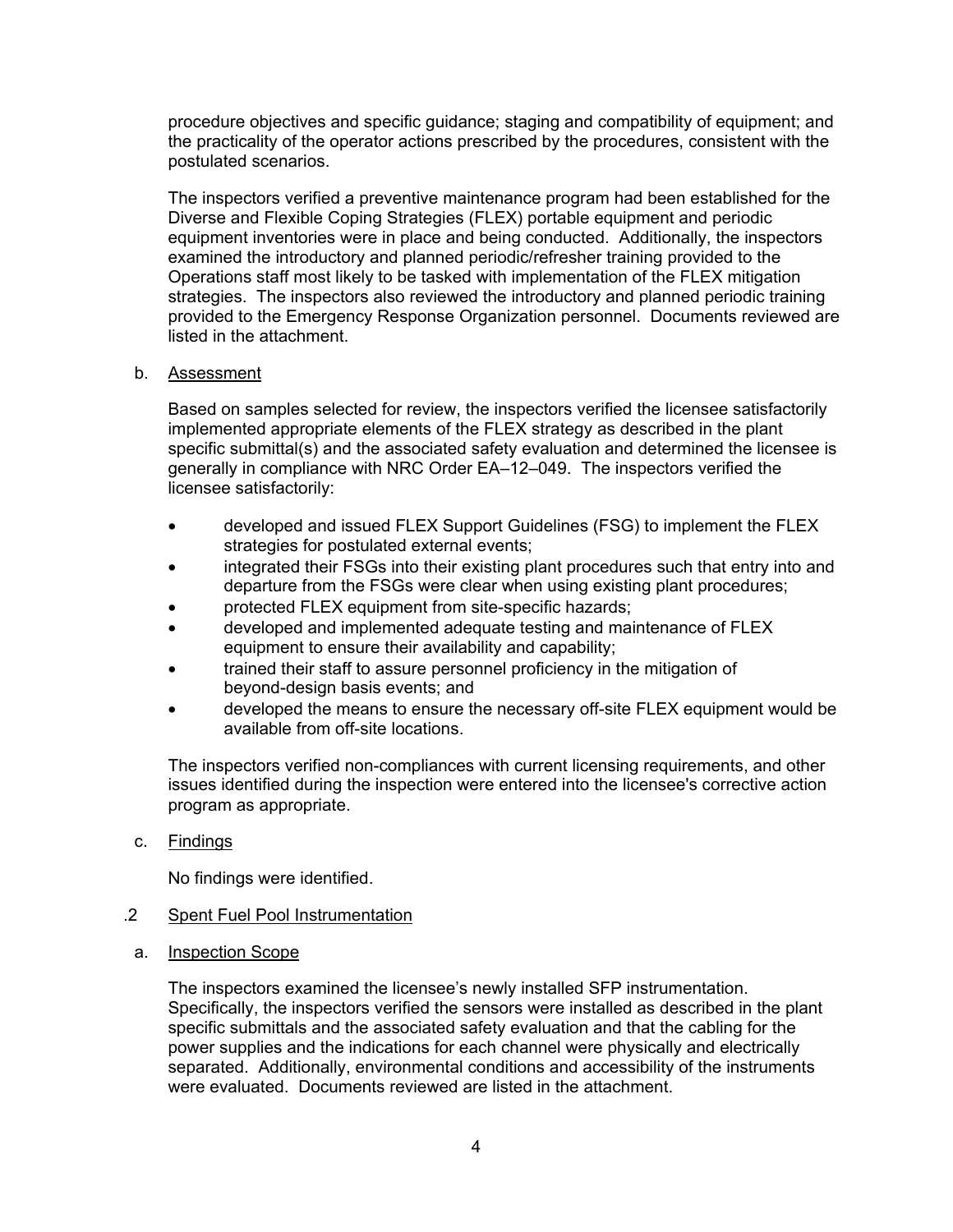procedure objectives and specific guidance; staging and compatibility of equipment; and the practicality of the operator actions prescribed by the procedures, consistent with the postulated scenarios.

The inspectors verified a preventive maintenance program had been established for the Diverse and Flexible Coping Strategies (FLEX) portable equipment and periodic equipment inventories were in place and being conducted. Additionally, the inspectors examined the introductory and planned periodic/refresher training provided to the Operations staff most likely to be tasked with implementation of the FLEX mitigation strategies. The inspectors also reviewed the introductory and planned periodic training provided to the Emergency Response Organization personnel. Documents reviewed are listed in the attachment.

### b. Assessment

Based on samples selected for review, the inspectors verified the licensee satisfactorily implemented appropriate elements of the FLEX strategy as described in the plant specific submittal(s) and the associated safety evaluation and determined the licensee is generally in compliance with NRC Order EA–12–049. The inspectors verified the licensee satisfactorily:

- developed and issued FLEX Support Guidelines (FSG) to implement the FLEX strategies for postulated external events;
- integrated their FSGs into their existing plant procedures such that entry into and departure from the FSGs were clear when using existing plant procedures;
- protected FLEX equipment from site-specific hazards;
- developed and implemented adequate testing and maintenance of FLEX equipment to ensure their availability and capability;
- trained their staff to assure personnel proficiency in the mitigation of beyond-design basis events; and
- developed the means to ensure the necessary off-site FLEX equipment would be available from off-site locations.

The inspectors verified non-compliances with current licensing requirements, and other issues identified during the inspection were entered into the licensee's corrective action program as appropriate.

c. Findings

No findings were identified.

## .2 Spent Fuel Pool Instrumentation

a. Inspection Scope

The inspectors examined the licensee's newly installed SFP instrumentation. Specifically, the inspectors verified the sensors were installed as described in the plant specific submittals and the associated safety evaluation and that the cabling for the power supplies and the indications for each channel were physically and electrically separated. Additionally, environmental conditions and accessibility of the instruments were evaluated. Documents reviewed are listed in the attachment.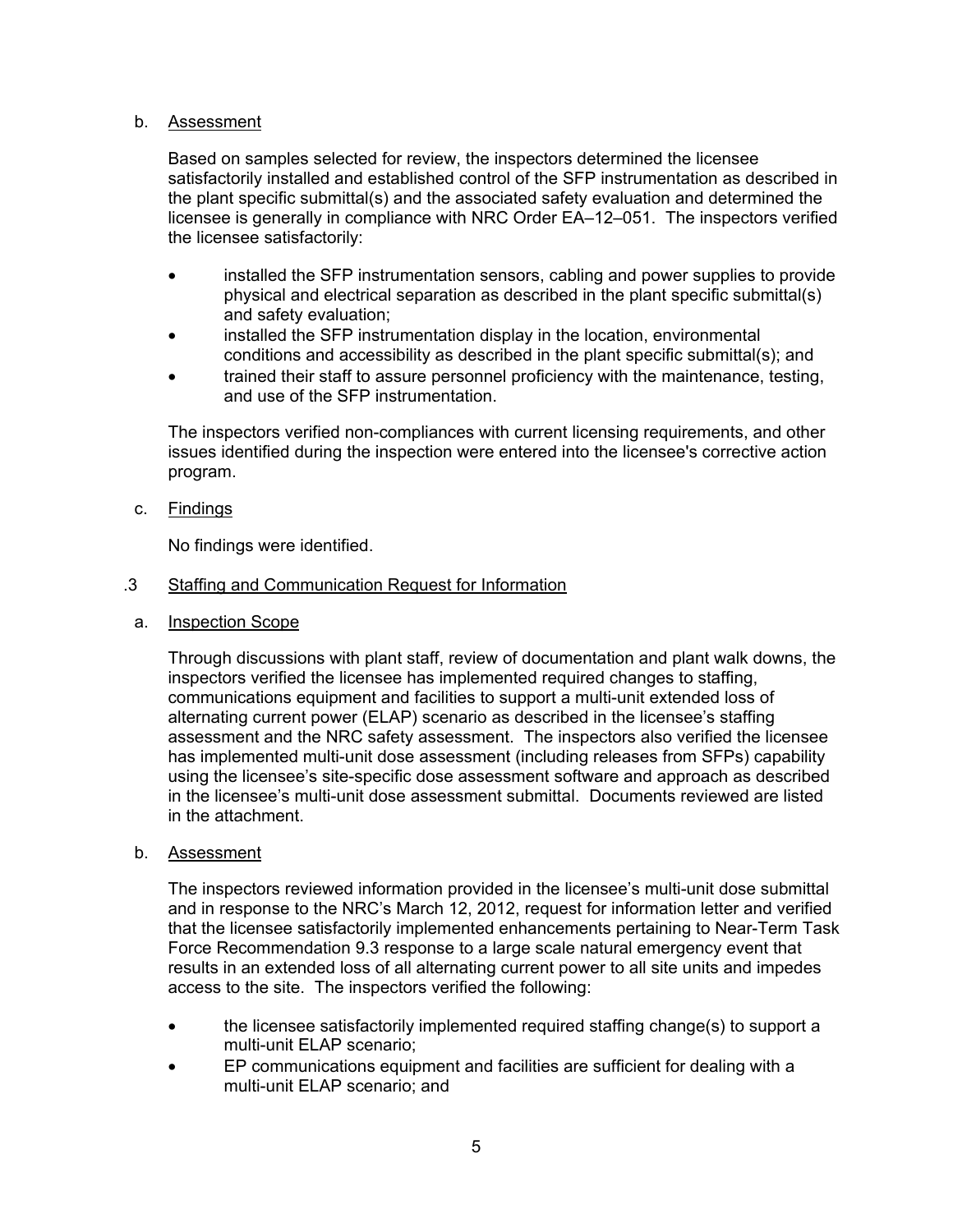### b. Assessment

Based on samples selected for review, the inspectors determined the licensee satisfactorily installed and established control of the SFP instrumentation as described in the plant specific submittal(s) and the associated safety evaluation and determined the licensee is generally in compliance with NRC Order EA–12–051. The inspectors verified the licensee satisfactorily:

- installed the SFP instrumentation sensors, cabling and power supplies to provide physical and electrical separation as described in the plant specific submittal(s) and safety evaluation;
- installed the SFP instrumentation display in the location, environmental conditions and accessibility as described in the plant specific submittal(s); and
- trained their staff to assure personnel proficiency with the maintenance, testing, and use of the SFP instrumentation.

The inspectors verified non-compliances with current licensing requirements, and other issues identified during the inspection were entered into the licensee's corrective action program.

c. Findings

No findings were identified.

### .3 Staffing and Communication Request for Information

a. Inspection Scope

Through discussions with plant staff, review of documentation and plant walk downs, the inspectors verified the licensee has implemented required changes to staffing, communications equipment and facilities to support a multi-unit extended loss of alternating current power (ELAP) scenario as described in the licensee's staffing assessment and the NRC safety assessment. The inspectors also verified the licensee has implemented multi-unit dose assessment (including releases from SFPs) capability using the licensee's site-specific dose assessment software and approach as described in the licensee's multi-unit dose assessment submittal. Documents reviewed are listed in the attachment.

b. Assessment

The inspectors reviewed information provided in the licensee's multi-unit dose submittal and in response to the NRC's March 12, 2012, request for information letter and verified that the licensee satisfactorily implemented enhancements pertaining to Near-Term Task Force Recommendation 9.3 response to a large scale natural emergency event that results in an extended loss of all alternating current power to all site units and impedes access to the site. The inspectors verified the following:

- the licensee satisfactorily implemented required staffing change(s) to support a multi-unit ELAP scenario;
- EP communications equipment and facilities are sufficient for dealing with a multi-unit ELAP scenario; and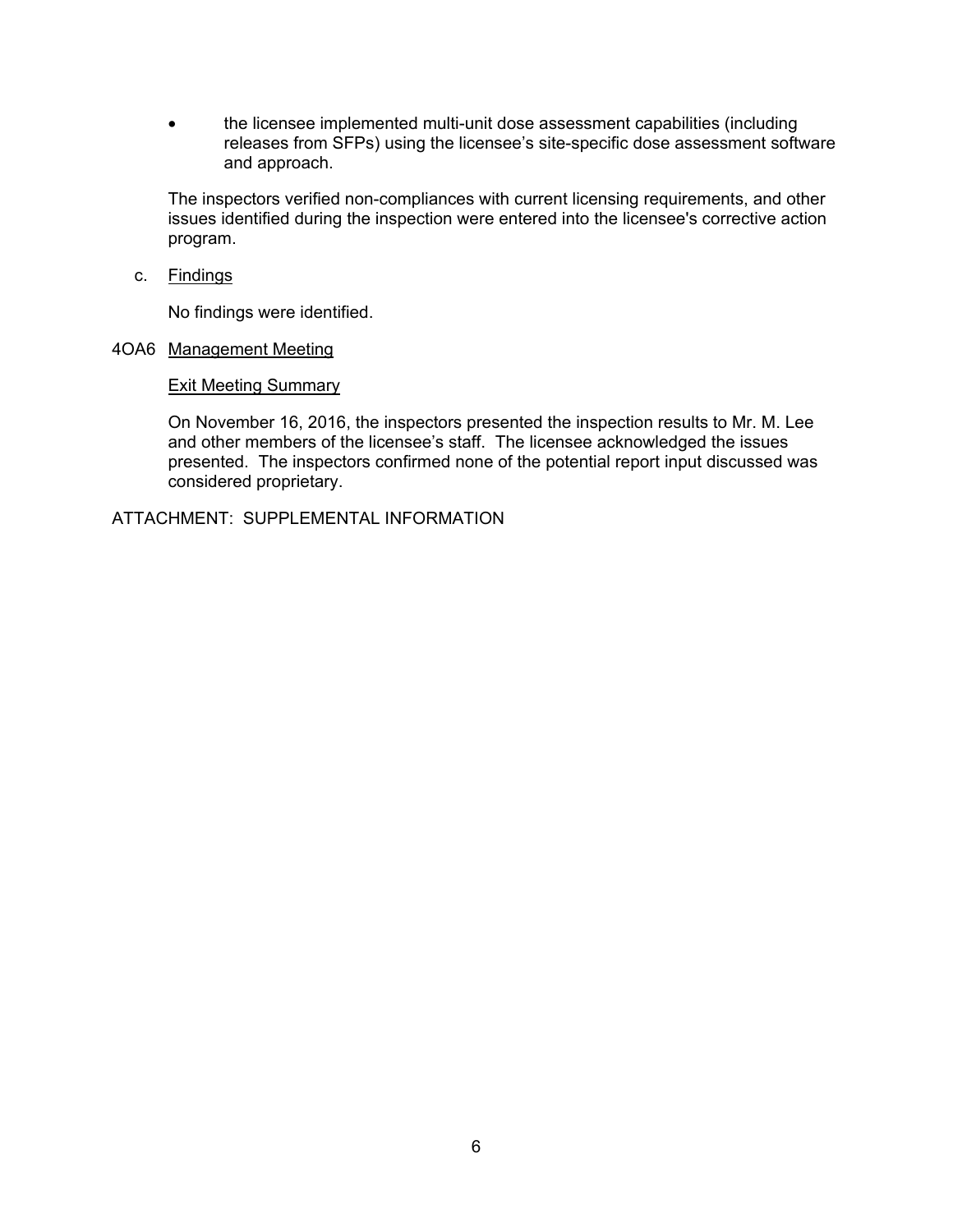• the licensee implemented multi-unit dose assessment capabilities (including releases from SFPs) using the licensee's site-specific dose assessment software and approach.

The inspectors verified non-compliances with current licensing requirements, and other issues identified during the inspection were entered into the licensee's corrective action program.

c. Findings

No findings were identified.

### 4OA6 Management Meeting

#### Exit Meeting Summary

On November 16, 2016, the inspectors presented the inspection results to Mr. M. Lee and other members of the licensee's staff. The licensee acknowledged the issues presented. The inspectors confirmed none of the potential report input discussed was considered proprietary.

ATTACHMENT: SUPPLEMENTAL INFORMATION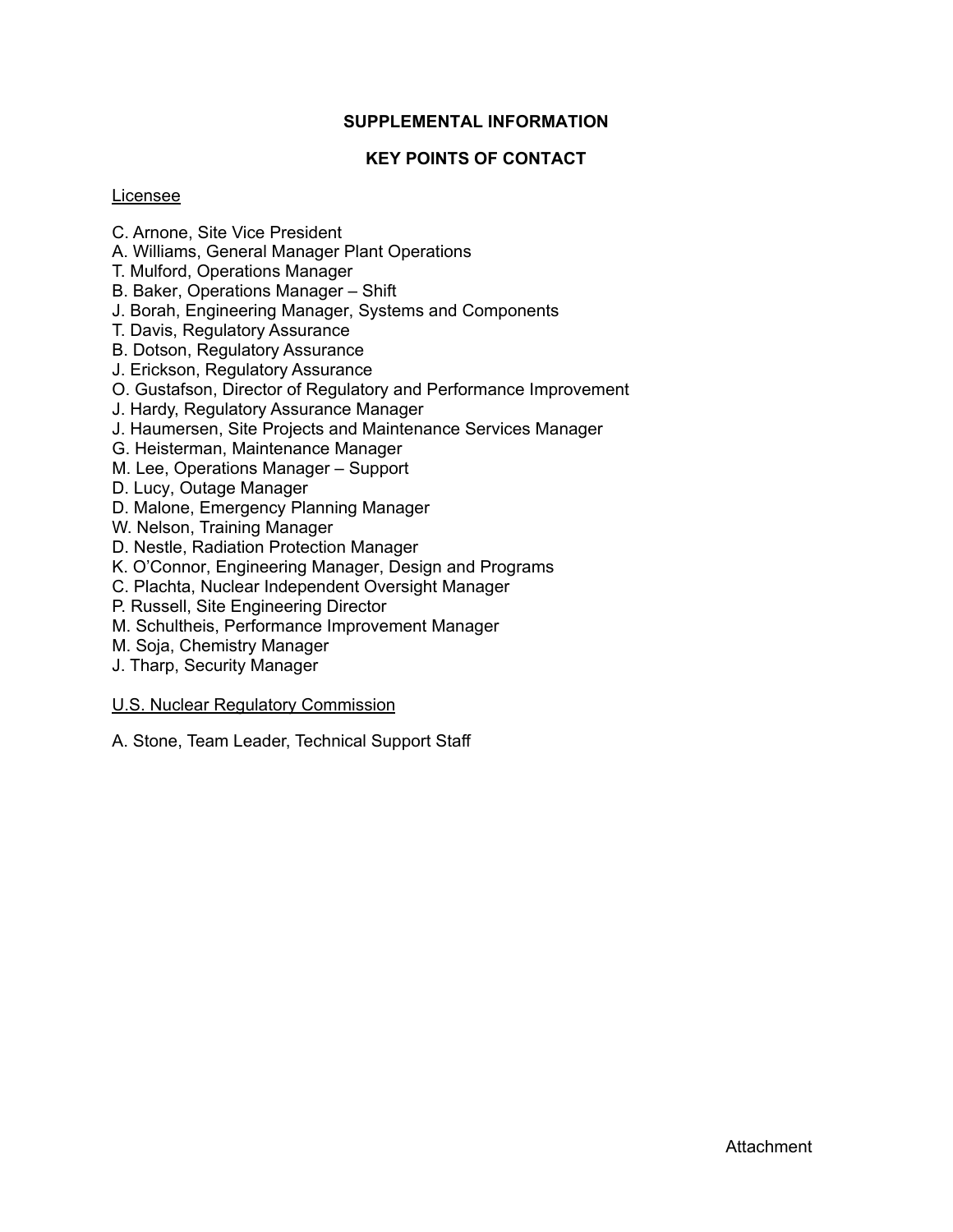# **SUPPLEMENTAL INFORMATION**

# **KEY POINTS OF CONTACT**

### Licensee

- C. Arnone, Site Vice President
- A. Williams, General Manager Plant Operations
- T. Mulford, Operations Manager
- B. Baker, Operations Manager Shift
- J. Borah, Engineering Manager, Systems and Components
- T. Davis, Regulatory Assurance
- B. Dotson, Regulatory Assurance
- J. Erickson, Regulatory Assurance
- O. Gustafson, Director of Regulatory and Performance Improvement
- J. Hardy, Regulatory Assurance Manager
- J. Haumersen, Site Projects and Maintenance Services Manager
- G. Heisterman, Maintenance Manager
- M. Lee, Operations Manager Support
- D. Lucy, Outage Manager
- D. Malone, Emergency Planning Manager
- W. Nelson, Training Manager
- D. Nestle, Radiation Protection Manager
- K. O'Connor, Engineering Manager, Design and Programs
- C. Plachta, Nuclear Independent Oversight Manager
- P. Russell, Site Engineering Director
- M. Schultheis, Performance Improvement Manager
- M. Soja, Chemistry Manager
- J. Tharp, Security Manager

### U.S. Nuclear Regulatory Commission

A. Stone, Team Leader, Technical Support Staff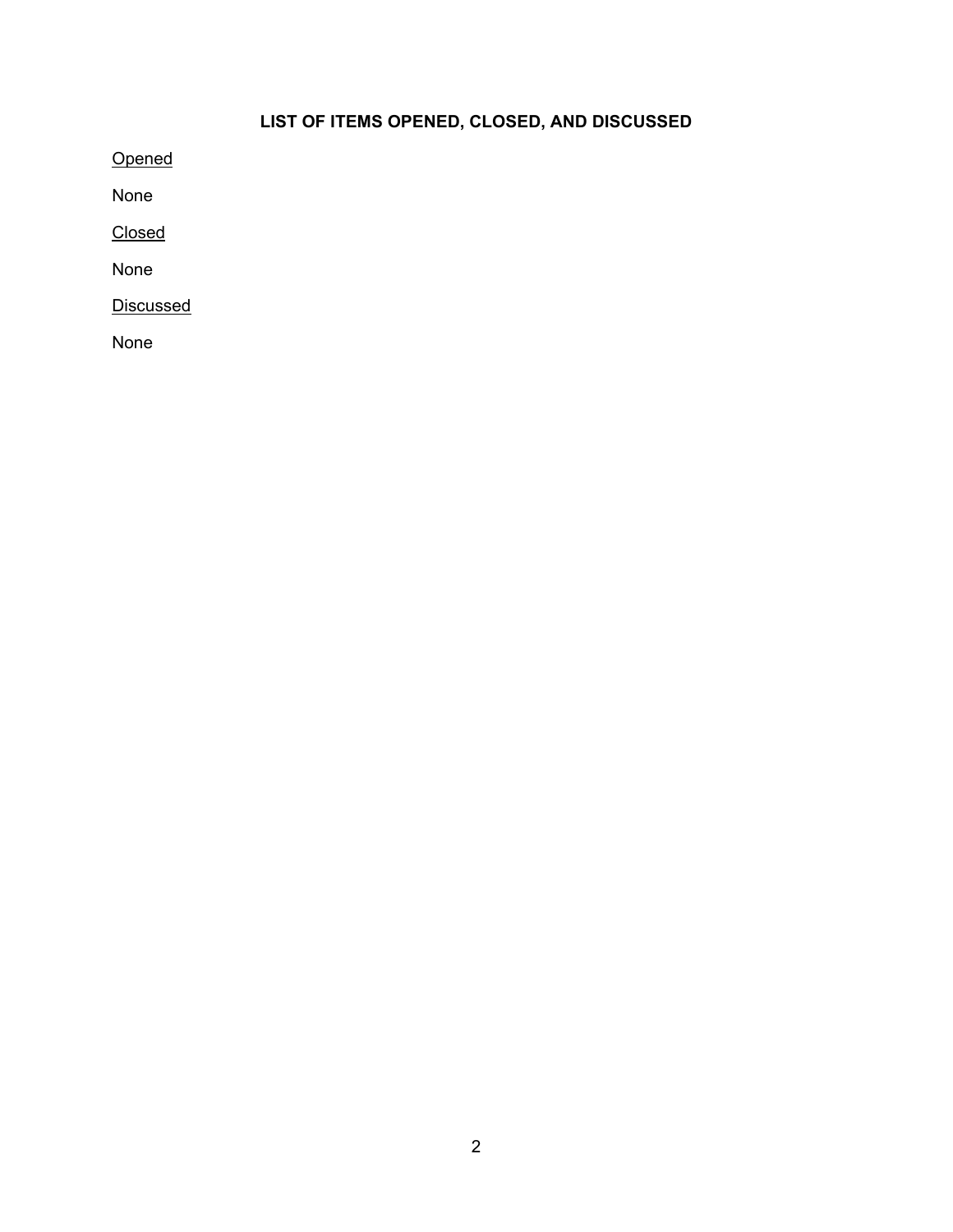# **LIST OF ITEMS OPENED, CLOSED, AND DISCUSSED**

**Opened** 

None

Closed

None

**Discussed** 

None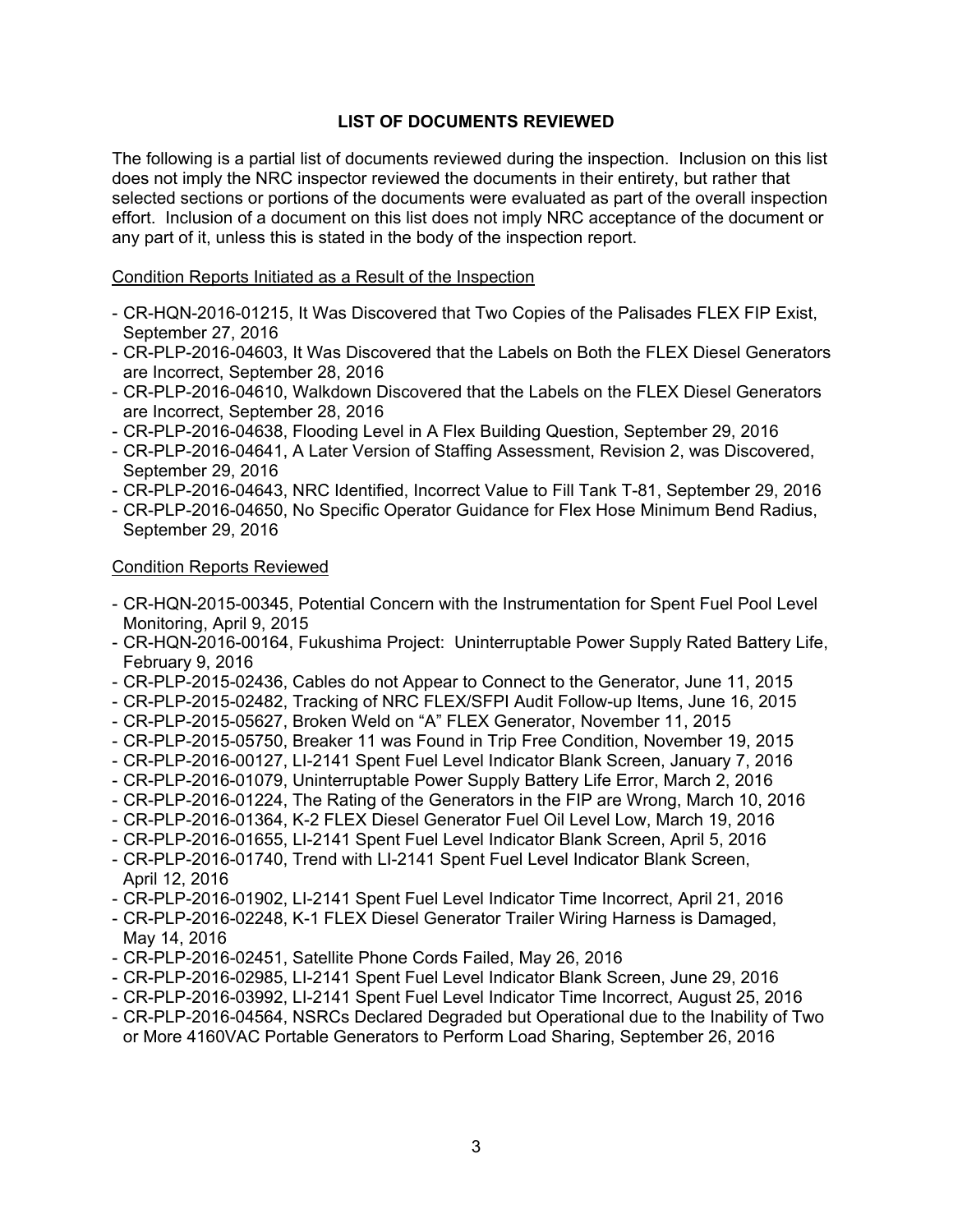# **LIST OF DOCUMENTS REVIEWED**

The following is a partial list of documents reviewed during the inspection. Inclusion on this list does not imply the NRC inspector reviewed the documents in their entirety, but rather that selected sections or portions of the documents were evaluated as part of the overall inspection effort. Inclusion of a document on this list does not imply NRC acceptance of the document or any part of it, unless this is stated in the body of the inspection report.

### Condition Reports Initiated as a Result of the Inspection

- CR-HQN-2016-01215, It Was Discovered that Two Copies of the Palisades FLEX FIP Exist, September 27, 2016
- CR-PLP-2016-04603, It Was Discovered that the Labels on Both the FLEX Diesel Generators are Incorrect, September 28, 2016
- CR-PLP-2016-04610, Walkdown Discovered that the Labels on the FLEX Diesel Generators are Incorrect, September 28, 2016
- CR-PLP-2016-04638, Flooding Level in A Flex Building Question, September 29, 2016
- CR-PLP-2016-04641, A Later Version of Staffing Assessment, Revision 2, was Discovered, September 29, 2016
- CR-PLP-2016-04643, NRC Identified, Incorrect Value to Fill Tank T-81, September 29, 2016
- CR-PLP-2016-04650, No Specific Operator Guidance for Flex Hose Minimum Bend Radius, September 29, 2016

#### Condition Reports Reviewed

- CR-HQN-2015-00345, Potential Concern with the Instrumentation for Spent Fuel Pool Level Monitoring, April 9, 2015
- CR-HQN-2016-00164, Fukushima Project: Uninterruptable Power Supply Rated Battery Life, February 9, 2016
- CR-PLP-2015-02436, Cables do not Appear to Connect to the Generator, June 11, 2015
- CR-PLP-2015-02482, Tracking of NRC FLEX/SFPI Audit Follow-up Items, June 16, 2015
- CR-PLP-2015-05627, Broken Weld on "A" FLEX Generator, November 11, 2015
- CR-PLP-2015-05750, Breaker 11 was Found in Trip Free Condition, November 19, 2015
- CR-PLP-2016-00127, LI-2141 Spent Fuel Level Indicator Blank Screen, January 7, 2016
- CR-PLP-2016-01079, Uninterruptable Power Supply Battery Life Error, March 2, 2016
- CR-PLP-2016-01224, The Rating of the Generators in the FIP are Wrong, March 10, 2016
- CR-PLP-2016-01364, K-2 FLEX Diesel Generator Fuel Oil Level Low, March 19, 2016
- CR-PLP-2016-01655, LI-2141 Spent Fuel Level Indicator Blank Screen, April 5, 2016
- CR-PLP-2016-01740, Trend with LI-2141 Spent Fuel Level Indicator Blank Screen, April 12, 2016
- CR-PLP-2016-01902, LI-2141 Spent Fuel Level Indicator Time Incorrect, April 21, 2016
- CR-PLP-2016-02248, K-1 FLEX Diesel Generator Trailer Wiring Harness is Damaged, May 14, 2016
- CR-PLP-2016-02451, Satellite Phone Cords Failed, May 26, 2016
- CR-PLP-2016-02985, LI-2141 Spent Fuel Level Indicator Blank Screen, June 29, 2016
- CR-PLP-2016-03992, LI-2141 Spent Fuel Level Indicator Time Incorrect, August 25, 2016
- CR-PLP-2016-04564, NSRCs Declared Degraded but Operational due to the Inability of Two or More 4160VAC Portable Generators to Perform Load Sharing, September 26, 2016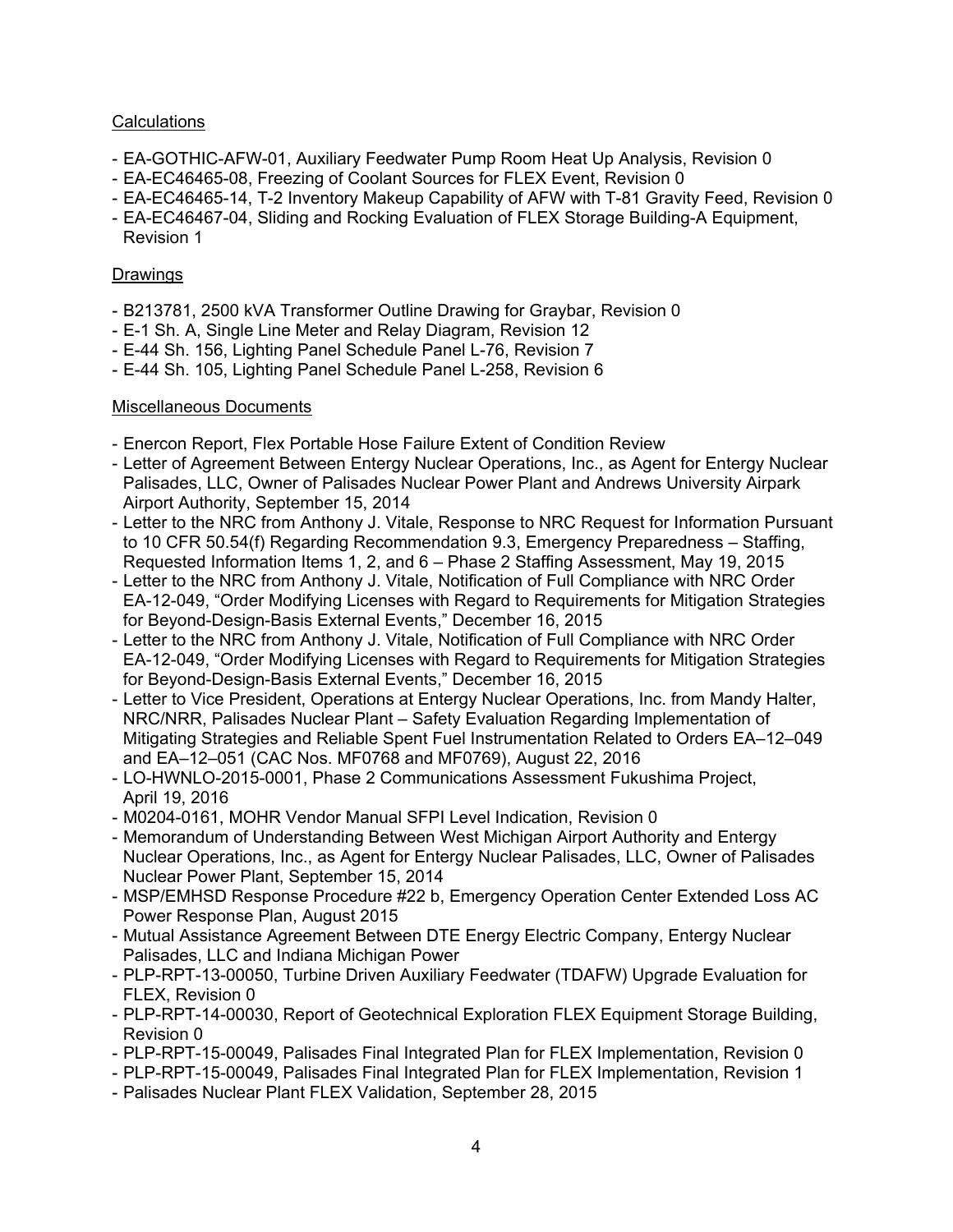# **Calculations**

- EA-GOTHIC-AFW-01, Auxiliary Feedwater Pump Room Heat Up Analysis, Revision 0
- EA-EC46465-08, Freezing of Coolant Sources for FLEX Event, Revision 0
- EA-EC46465-14, T-2 Inventory Makeup Capability of AFW with T-81 Gravity Feed, Revision 0
- EA-EC46467-04, Sliding and Rocking Evaluation of FLEX Storage Building-A Equipment, Revision 1

## Drawings

- B213781, 2500 kVA Transformer Outline Drawing for Graybar, Revision 0
- E-1 Sh. A, Single Line Meter and Relay Diagram, Revision 12
- E-44 Sh. 156, Lighting Panel Schedule Panel L-76, Revision 7
- E-44 Sh. 105, Lighting Panel Schedule Panel L-258, Revision 6

# Miscellaneous Documents

- Enercon Report, Flex Portable Hose Failure Extent of Condition Review
- Letter of Agreement Between Entergy Nuclear Operations, Inc., as Agent for Entergy Nuclear Palisades, LLC, Owner of Palisades Nuclear Power Plant and Andrews University Airpark Airport Authority, September 15, 2014
- Letter to the NRC from Anthony J. Vitale, Response to NRC Request for Information Pursuant to 10 CFR 50.54(f) Regarding Recommendation 9.3, Emergency Preparedness – Staffing, Requested Information Items 1, 2, and 6 – Phase 2 Staffing Assessment, May 19, 2015
- Letter to the NRC from Anthony J. Vitale, Notification of Full Compliance with NRC Order EA-12-049, "Order Modifying Licenses with Regard to Requirements for Mitigation Strategies for Beyond-Design-Basis External Events," December 16, 2015
- Letter to the NRC from Anthony J. Vitale, Notification of Full Compliance with NRC Order EA-12-049, "Order Modifying Licenses with Regard to Requirements for Mitigation Strategies for Beyond-Design-Basis External Events," December 16, 2015
- Letter to Vice President, Operations at Entergy Nuclear Operations, Inc. from Mandy Halter, NRC/NRR, Palisades Nuclear Plant – Safety Evaluation Regarding Implementation of Mitigating Strategies and Reliable Spent Fuel Instrumentation Related to Orders EA–12–049 and EA–12–051 (CAC Nos. MF0768 and MF0769), August 22, 2016
- LO-HWNLO-2015-0001, Phase 2 Communications Assessment Fukushima Project, April 19, 2016
- M0204-0161, MOHR Vendor Manual SFPI Level Indication, Revision 0
- Memorandum of Understanding Between West Michigan Airport Authority and Entergy Nuclear Operations, Inc., as Agent for Entergy Nuclear Palisades, LLC, Owner of Palisades Nuclear Power Plant, September 15, 2014
- MSP/EMHSD Response Procedure #22 b, Emergency Operation Center Extended Loss AC Power Response Plan, August 2015
- Mutual Assistance Agreement Between DTE Energy Electric Company, Entergy Nuclear Palisades, LLC and Indiana Michigan Power
- PLP-RPT-13-00050, Turbine Driven Auxiliary Feedwater (TDAFW) Upgrade Evaluation for FLEX, Revision 0
- PLP-RPT-14-00030, Report of Geotechnical Exploration FLEX Equipment Storage Building, Revision 0
- PLP-RPT-15-00049, Palisades Final Integrated Plan for FLEX Implementation, Revision 0
- PLP-RPT-15-00049, Palisades Final Integrated Plan for FLEX Implementation, Revision 1
- Palisades Nuclear Plant FLEX Validation, September 28, 2015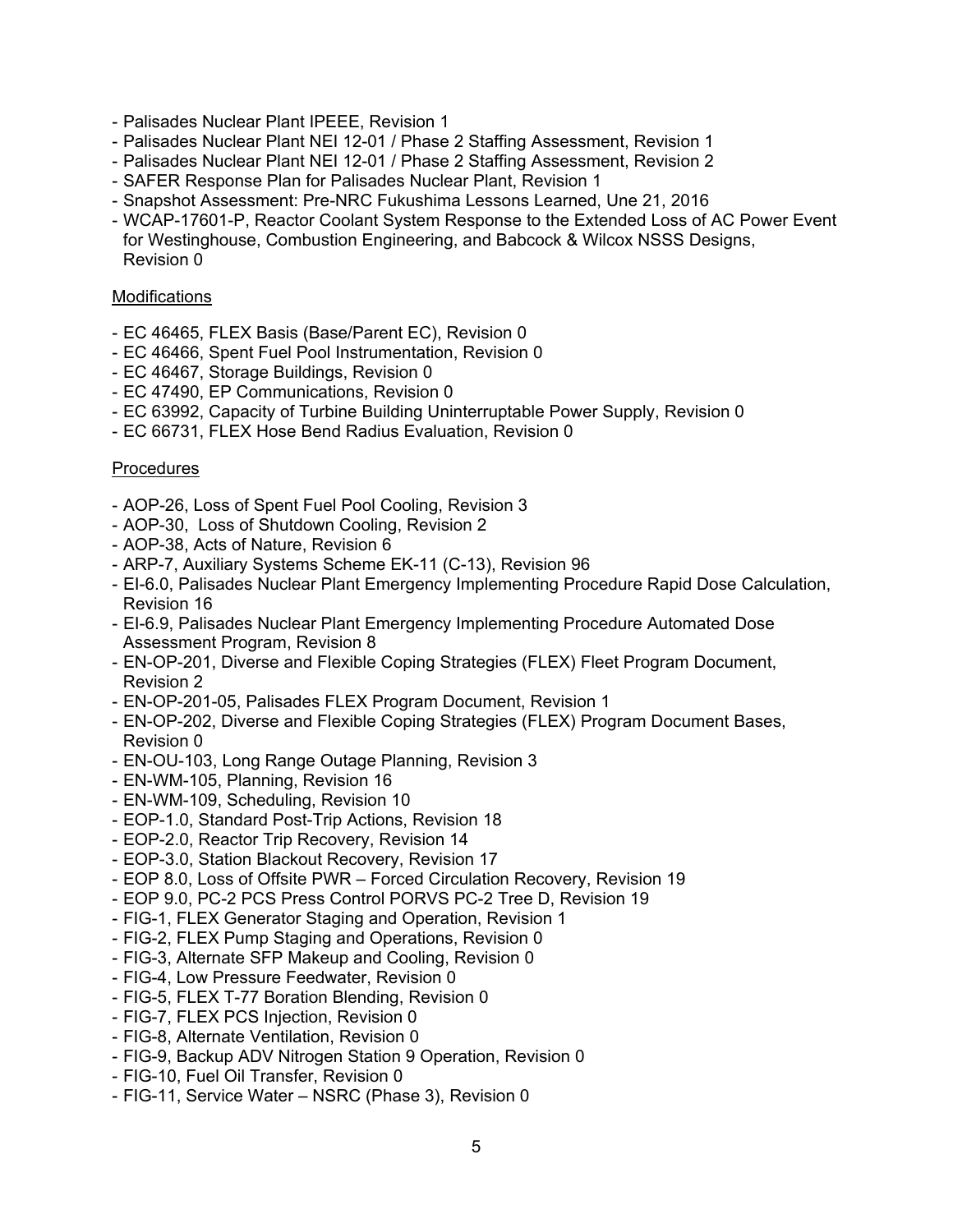- Palisades Nuclear Plant IPEEE, Revision 1
- Palisades Nuclear Plant NEI 12-01 / Phase 2 Staffing Assessment, Revision 1
- Palisades Nuclear Plant NEI 12-01 / Phase 2 Staffing Assessment, Revision 2
- SAFER Response Plan for Palisades Nuclear Plant, Revision 1
- Snapshot Assessment: Pre-NRC Fukushima Lessons Learned, Une 21, 2016
- WCAP-17601-P, Reactor Coolant System Response to the Extended Loss of AC Power Event for Westinghouse, Combustion Engineering, and Babcock & Wilcox NSSS Designs, Revision 0

### **Modifications**

- EC 46465, FLEX Basis (Base/Parent EC), Revision 0
- EC 46466, Spent Fuel Pool Instrumentation, Revision 0
- EC 46467, Storage Buildings, Revision 0
- EC 47490, EP Communications, Revision 0
- EC 63992, Capacity of Turbine Building Uninterruptable Power Supply, Revision 0
- EC 66731, FLEX Hose Bend Radius Evaluation, Revision 0

### **Procedures**

- AOP-26, Loss of Spent Fuel Pool Cooling, Revision 3
- AOP-30, Loss of Shutdown Cooling, Revision 2
- AOP-38, Acts of Nature, Revision 6
- ARP-7, Auxiliary Systems Scheme EK-11 (C-13), Revision 96
- EI-6.0, Palisades Nuclear Plant Emergency Implementing Procedure Rapid Dose Calculation, Revision 16
- EI-6.9, Palisades Nuclear Plant Emergency Implementing Procedure Automated Dose Assessment Program, Revision 8
- EN-OP-201, Diverse and Flexible Coping Strategies (FLEX) Fleet Program Document, Revision 2
- EN-OP-201-05, Palisades FLEX Program Document, Revision 1
- EN-OP-202, Diverse and Flexible Coping Strategies (FLEX) Program Document Bases, Revision 0
- EN-OU-103, Long Range Outage Planning, Revision 3
- EN-WM-105, Planning, Revision 16
- EN-WM-109, Scheduling, Revision 10
- EOP-1.0, Standard Post-Trip Actions, Revision 18
- EOP-2.0, Reactor Trip Recovery, Revision 14
- EOP-3.0, Station Blackout Recovery, Revision 17
- EOP 8.0, Loss of Offsite PWR Forced Circulation Recovery, Revision 19
- EOP 9.0, PC-2 PCS Press Control PORVS PC-2 Tree D, Revision 19
- FIG-1, FLEX Generator Staging and Operation, Revision 1
- FIG-2, FLEX Pump Staging and Operations, Revision 0
- FIG-3, Alternate SFP Makeup and Cooling, Revision 0
- FIG-4, Low Pressure Feedwater, Revision 0
- FIG-5, FLEX T-77 Boration Blending, Revision 0
- FIG-7, FLEX PCS Injection, Revision 0
- FIG-8, Alternate Ventilation, Revision 0
- FIG-9, Backup ADV Nitrogen Station 9 Operation, Revision 0
- FIG-10, Fuel Oil Transfer, Revision 0
- FIG-11, Service Water NSRC (Phase 3), Revision 0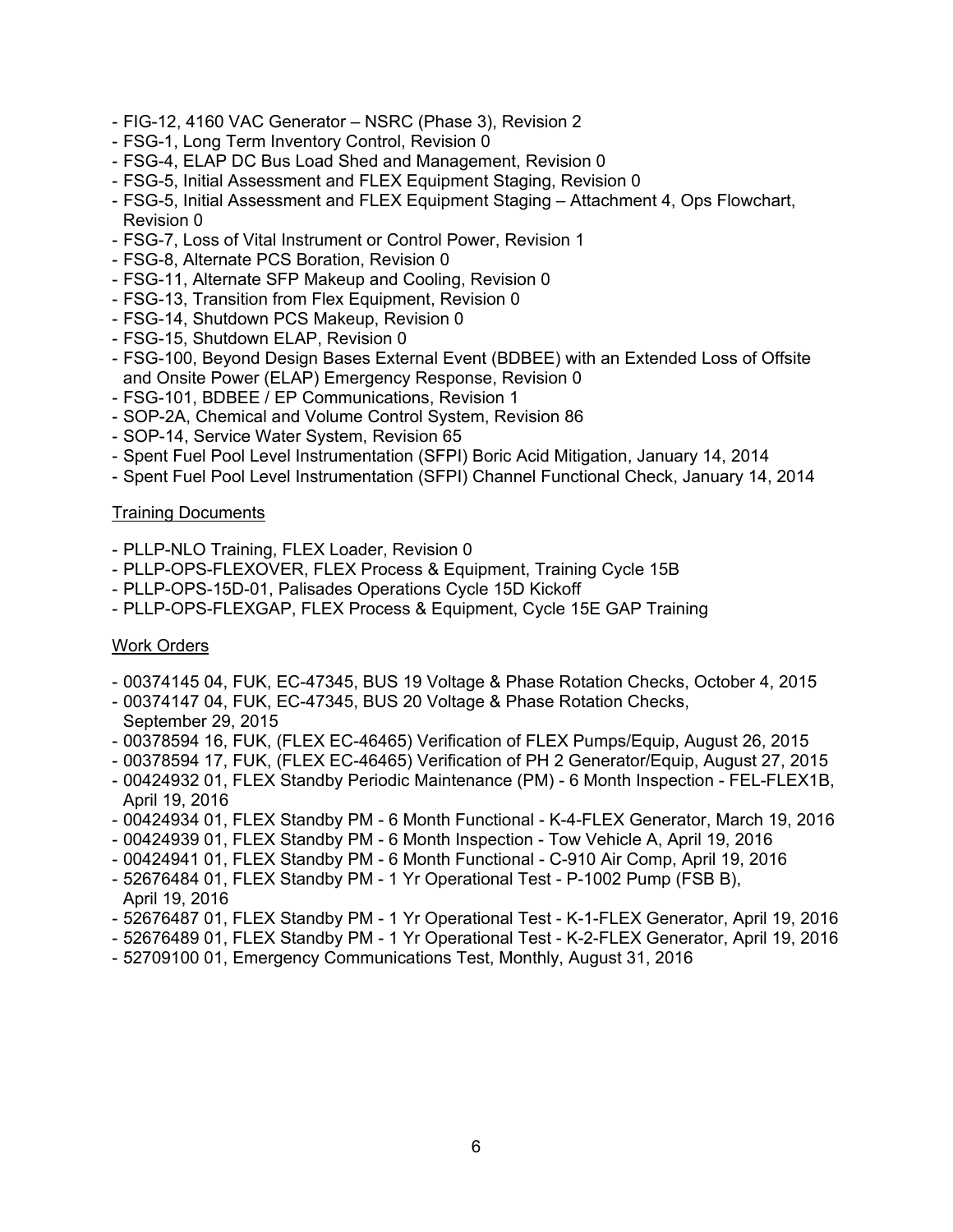- FIG-12, 4160 VAC Generator NSRC (Phase 3), Revision 2
- FSG-1, Long Term Inventory Control, Revision 0
- FSG-4, ELAP DC Bus Load Shed and Management, Revision 0
- FSG-5, Initial Assessment and FLEX Equipment Staging, Revision 0
- FSG-5, Initial Assessment and FLEX Equipment Staging Attachment 4, Ops Flowchart, Revision 0
- FSG-7, Loss of Vital Instrument or Control Power, Revision 1
- FSG-8, Alternate PCS Boration, Revision 0
- FSG-11, Alternate SFP Makeup and Cooling, Revision 0
- FSG-13, Transition from Flex Equipment, Revision 0
- FSG-14, Shutdown PCS Makeup, Revision 0
- FSG-15, Shutdown ELAP, Revision 0
- FSG-100, Beyond Design Bases External Event (BDBEE) with an Extended Loss of Offsite and Onsite Power (ELAP) Emergency Response, Revision 0
- FSG-101, BDBEE / EP Communications, Revision 1
- SOP-2A, Chemical and Volume Control System, Revision 86
- SOP-14, Service Water System, Revision 65
- Spent Fuel Pool Level Instrumentation (SFPI) Boric Acid Mitigation, January 14, 2014
- Spent Fuel Pool Level Instrumentation (SFPI) Channel Functional Check, January 14, 2014

### **Training Documents**

- PLLP-NLO Training, FLEX Loader, Revision 0
- PLLP-OPS-FLEXOVER, FLEX Process & Equipment, Training Cycle 15B
- PLLP-OPS-15D-01, Palisades Operations Cycle 15D Kickoff
- PLLP-OPS-FLEXGAP, FLEX Process & Equipment, Cycle 15E GAP Training

## Work Orders

- 00374145 04, FUK, EC-47345, BUS 19 Voltage & Phase Rotation Checks, October 4, 2015
- 00374147 04, FUK, EC-47345, BUS 20 Voltage & Phase Rotation Checks, September 29, 2015
- 00378594 16, FUK, (FLEX EC-46465) Verification of FLEX Pumps/Equip, August 26, 2015
- 00378594 17, FUK, (FLEX EC-46465) Verification of PH 2 Generator/Equip, August 27, 2015
- 00424932 01, FLEX Standby Periodic Maintenance (PM) 6 Month Inspection FEL-FLEX1B, April 19, 2016
- 00424934 01, FLEX Standby PM 6 Month Functional K-4-FLEX Generator, March 19, 2016
- 00424939 01, FLEX Standby PM 6 Month Inspection Tow Vehicle A, April 19, 2016
- 00424941 01, FLEX Standby PM 6 Month Functional C-910 Air Comp, April 19, 2016
- 52676484 01, FLEX Standby PM 1 Yr Operational Test P-1002 Pump (FSB B), April 19, 2016
- 52676487 01, FLEX Standby PM 1 Yr Operational Test K-1-FLEX Generator, April 19, 2016
- 52676489 01, FLEX Standby PM 1 Yr Operational Test K-2-FLEX Generator, April 19, 2016
- 52709100 01, Emergency Communications Test, Monthly, August 31, 2016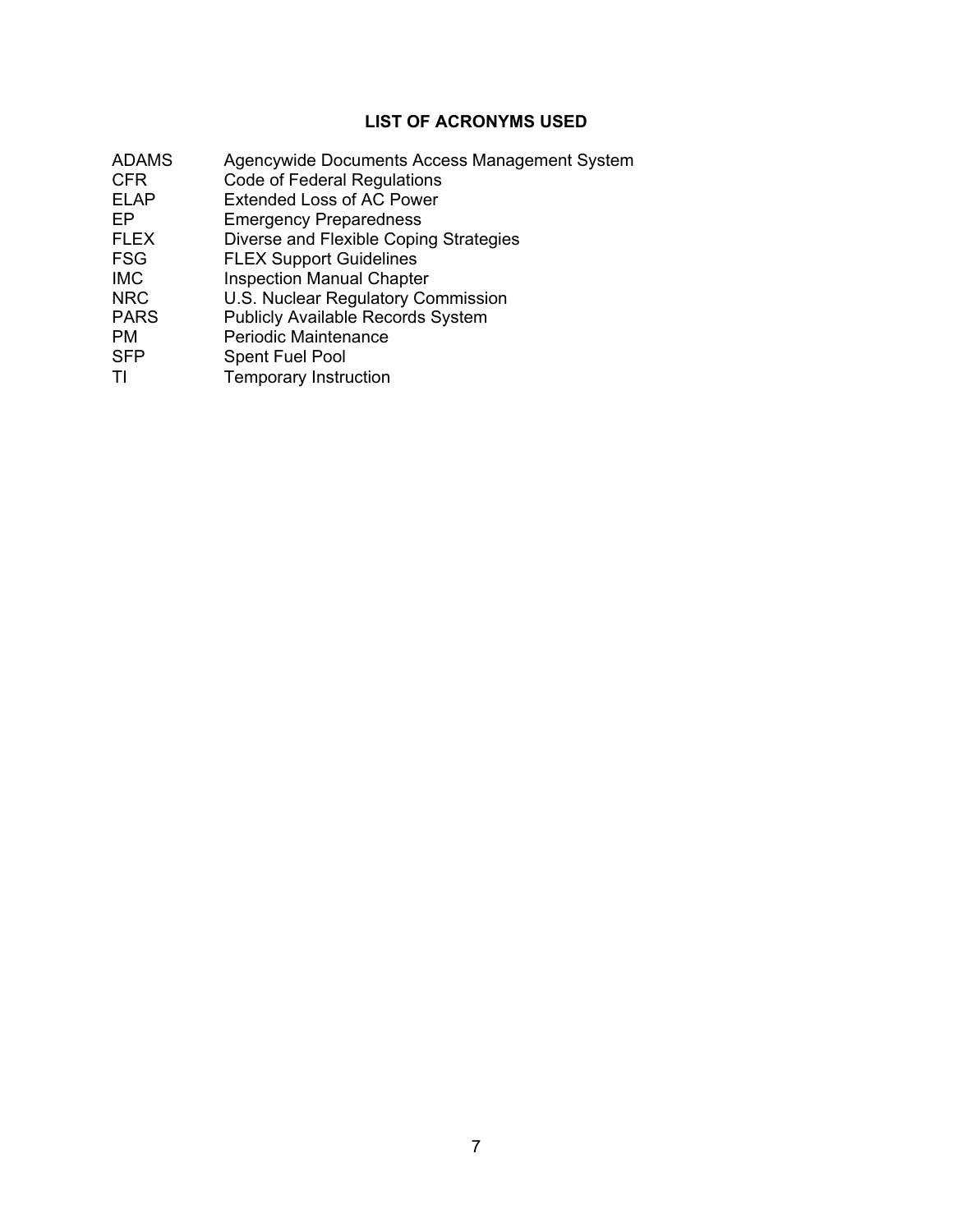# **LIST OF ACRONYMS USED**

- ADAMS Agencywide Documents Access Management System<br>CFR Code of Federal Regulations
- CFR Code of Federal Regulations<br>
ELAP Extended Loss of AC Power
- Extended Loss of AC Power
- EP Emergency Preparedness
- FLEX Diverse and Flexible Coping Strategies<br>FSG FLEX Support Guidelines
- FLEX Support Guidelines
- IMC Inspection Manual Chapter
- NRC U.S. Nuclear Regulatory Commission<br>
PARS Publicly Available Records System
- PARS Publicly Available Records System<br>
PM Periodic Maintenance
- PM Periodic Maintenance<br>
SPP Spent Fuel Pool
- Spent Fuel Pool
- TI Temporary Instruction